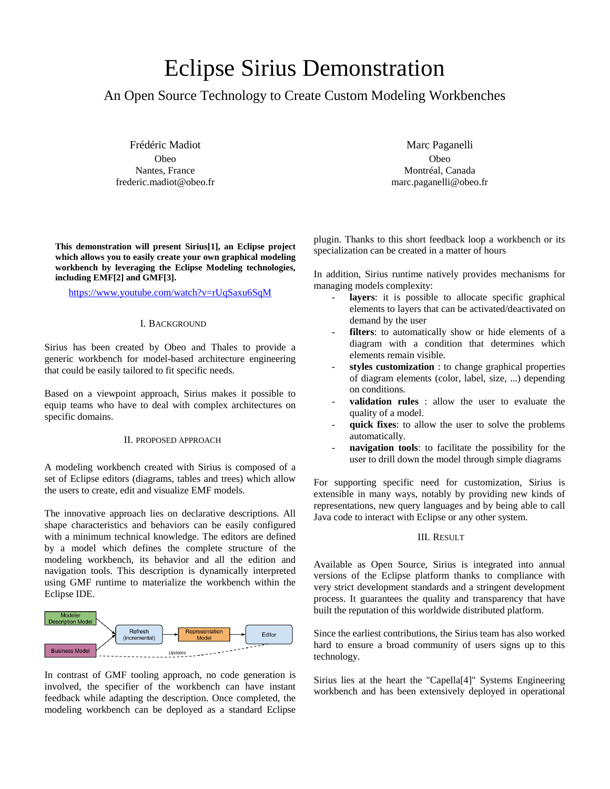# Eclipse Sirius Demonstration

# An Open Source Technology to Create Custom Modeling Workbenches

Frédéric Madiot Obeo Nantes, France frederic.madiot@obeo.fr

**This demonstration will present Sirius[1], an Eclipse project which allows you to easily create your own graphical modeling workbench by leveraging the Eclipse Modeling technologies, including EMF[2] and GMF[3].**

<https://www.youtube.com/watch?v=rUqSaxu6SqM>

## I. BACKGROUND

Sirius has been created by Obeo and Thales to provide a generic workbench for model-based architecture engineering that could be easily tailored to fit specific needs.

Based on a viewpoint approach, Sirius makes it possible to equip teams who have to deal with complex architectures on specific domains.

#### II. PROPOSED APPROACH

A modeling workbench created with Sirius is composed of a set of Eclipse editors (diagrams, tables and trees) which allow the users to create, edit and visualize EMF models.

The innovative approach lies on declarative descriptions. All shape characteristics and behaviors can be easily configured with a minimum technical knowledge. The editors are defined by a model which defines the complete structure of the modeling workbench, its behavior and all the edition and navigation tools. This description is dynamically interpreted using GMF runtime to materialize the workbench within the Eclipse IDE.



In contrast of GMF tooling approach, no code generation is involved, the specifier of the workbench can have instant feedback while adapting the description. Once completed, the modeling workbench can be deployed as a standard Eclipse

Marc Paganelli Obeo Montréal, Canada marc.paganelli@obeo.fr

plugin. Thanks to this short feedback loop a workbench or its specialization can be created in a matter of hours

In addition, Sirius runtime natively provides mechanisms for managing models complexity:

- **layers**: it is possible to allocate specific graphical elements to layers that can be activated/deactivated on demand by the user
- filters: to automatically show or hide elements of a diagram with a condition that determines which elements remain visible.
- styles customization : to change graphical properties of diagram elements (color, label, size, ...) depending on conditions.
- validation rules : allow the user to evaluate the quality of a model.
- quick fixes: to allow the user to solve the problems automatically.
- navigation tools: to facilitate the possibility for the user to drill down the model through simple diagrams

For supporting specific need for customization, Sirius is extensible in many ways, notably by providing new kinds of representations, new query languages and by being able to call Java code to interact with Eclipse or any other system.

### III. RESULT

Available as Open Source, Sirius is integrated into annual versions of the Eclipse platform thanks to compliance with very strict development standards and a stringent development process. It guarantees the quality and transparency that have built the reputation of this worldwide distributed platform.

Since the earliest contributions, the Sirius team has also worked hard to ensure a broad community of users signs up to this technology.

Sirius lies at the heart the "Capella[4]" Systems Engineering workbench and has been extensively deployed in operational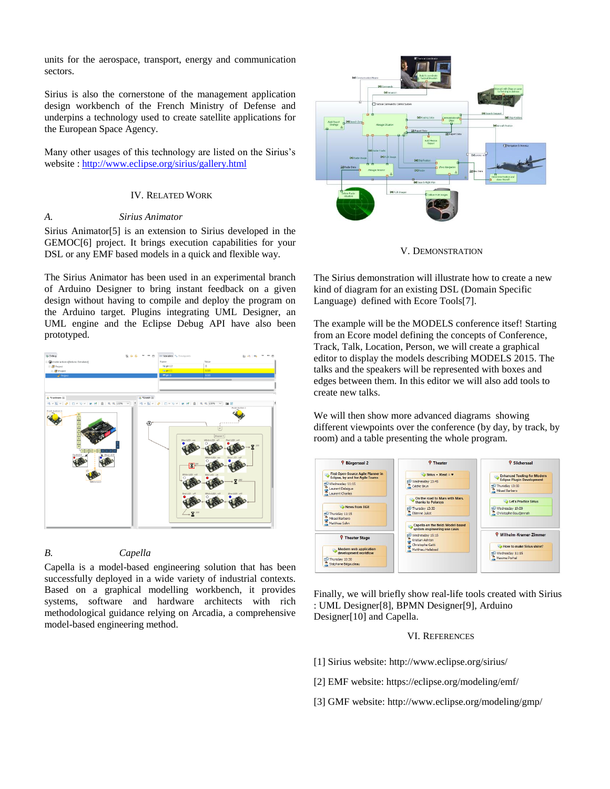units for the aerospace, transport, energy and communication sectors.

Sirius is also the cornerstone of the management application design workbench of the French Ministry of Defense and underpins a technology used to create satellite applications for the European Space Agency.

Many other usages of this technology are listed on the Sirius's website [: http://www.eclipse.org/sirius/gallery.html](http://www.eclipse.org/sirius/gallery.html)

#### IV. RELATED WORK

#### *A. Sirius Animator*

Sirius Animator[5] is an extension to Sirius developed in the GEMOC[6] project. It brings execution capabilities for your DSL or any EMF based models in a quick and flexible way.

The Sirius Animator has been used in an experimental branch of Arduino Designer to bring instant feedback on a given design without having to compile and deploy the program on the Arduino target. Plugins integrating UML Designer, an UML engine and the Eclipse Debug API have also been prototyped.



# *B. Capella*

Capella is a model-based engineering solution that has been successfully deployed in a wide variety of industrial contexts. Based on a graphical modelling workbench, it provides systems, software and hardware architects with rich methodological guidance relying on Arcadia, a comprehensive model-based engineering method.



V. DEMONSTRATION

The Sirius demonstration will illustrate how to create a new kind of diagram for an existing DSL (Domain Specific Language) defined with Ecore Tools[7].

The example will be the MODELS conference itsef! Starting from an Ecore model defining the concepts of Conference, Track, Talk, Location, Person, we will create a graphical editor to display the models describing MODELS 2015. The talks and the speakers will be represented with boxes and edges between them. In this editor we will also add tools to create new talks.

We will then show more advanced diagrams showing different viewpoints over the conference (by day, by track, by room) and a table presenting the whole program.



Finally, we will briefly show real-life tools created with Sirius : UML Designer[8], BPMN Designer[9], Arduino Designer[10] and Capella.

#### VI. REFERENCES

- [1] Sirius website: http://www.eclipse.org/sirius/
- [2] EMF website: https://eclipse.org/modeling/emf/
- [3] GMF website: http://www.eclipse.org/modeling/gmp/